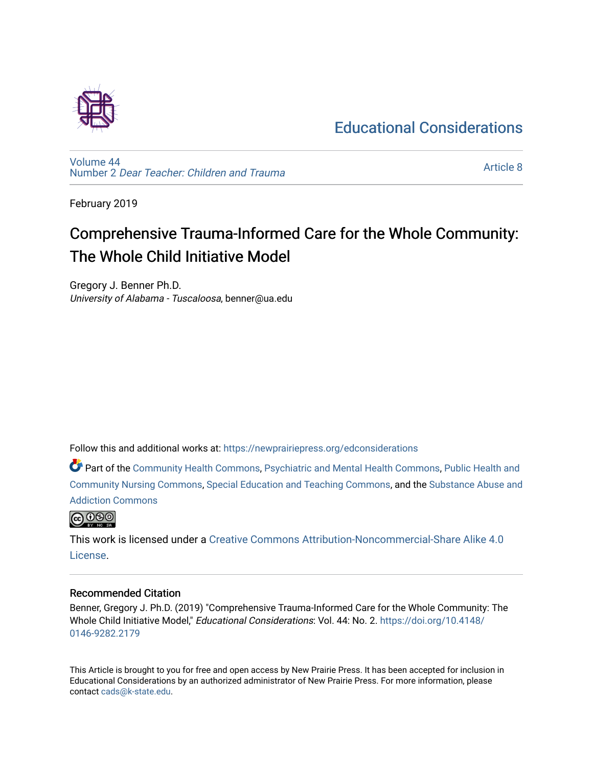## [Educational Considerations](https://newprairiepress.org/edconsiderations)



[Volume 44](https://newprairiepress.org/edconsiderations/vol44) Number 2 [Dear Teacher: Children and Trauma](https://newprairiepress.org/edconsiderations/vol44/iss2)

[Article 8](https://newprairiepress.org/edconsiderations/vol44/iss2/8) 

February 2019

# Comprehensive Trauma-Informed Care for the Whole Community: The Whole Child Initiative Model

Gregory J. Benner Ph.D. University of Alabama - Tuscaloosa, benner@ua.edu

Follow this and additional works at: [https://newprairiepress.org/edconsiderations](https://newprairiepress.org/edconsiderations?utm_source=newprairiepress.org%2Fedconsiderations%2Fvol44%2Fiss2%2F8&utm_medium=PDF&utm_campaign=PDFCoverPages) 

Part of the [Community Health Commons,](http://network.bepress.com/hgg/discipline/714?utm_source=newprairiepress.org%2Fedconsiderations%2Fvol44%2Fiss2%2F8&utm_medium=PDF&utm_campaign=PDFCoverPages) [Psychiatric and Mental Health Commons](http://network.bepress.com/hgg/discipline/711?utm_source=newprairiepress.org%2Fedconsiderations%2Fvol44%2Fiss2%2F8&utm_medium=PDF&utm_campaign=PDFCoverPages), [Public Health and](http://network.bepress.com/hgg/discipline/725?utm_source=newprairiepress.org%2Fedconsiderations%2Fvol44%2Fiss2%2F8&utm_medium=PDF&utm_campaign=PDFCoverPages)  [Community Nursing Commons](http://network.bepress.com/hgg/discipline/725?utm_source=newprairiepress.org%2Fedconsiderations%2Fvol44%2Fiss2%2F8&utm_medium=PDF&utm_campaign=PDFCoverPages), [Special Education and Teaching Commons](http://network.bepress.com/hgg/discipline/801?utm_source=newprairiepress.org%2Fedconsiderations%2Fvol44%2Fiss2%2F8&utm_medium=PDF&utm_campaign=PDFCoverPages), and the [Substance Abuse and](http://network.bepress.com/hgg/discipline/710?utm_source=newprairiepress.org%2Fedconsiderations%2Fvol44%2Fiss2%2F8&utm_medium=PDF&utm_campaign=PDFCoverPages)  [Addiction Commons](http://network.bepress.com/hgg/discipline/710?utm_source=newprairiepress.org%2Fedconsiderations%2Fvol44%2Fiss2%2F8&utm_medium=PDF&utm_campaign=PDFCoverPages) 



This work is licensed under a [Creative Commons Attribution-Noncommercial-Share Alike 4.0](https://creativecommons.org/licenses/by-nc-sa/4.0/) [License.](https://creativecommons.org/licenses/by-nc-sa/4.0/)

#### Recommended Citation

Benner, Gregory J. Ph.D. (2019) "Comprehensive Trauma-Informed Care for the Whole Community: The Whole Child Initiative Model," Educational Considerations: Vol. 44: No. 2. [https://doi.org/10.4148/](https://doi.org/10.4148/0146-9282.2179) [0146-9282.2179](https://doi.org/10.4148/0146-9282.2179) 

This Article is brought to you for free and open access by New Prairie Press. It has been accepted for inclusion in Educational Considerations by an authorized administrator of New Prairie Press. For more information, please contact [cads@k-state.edu](mailto:cads@k-state.edu).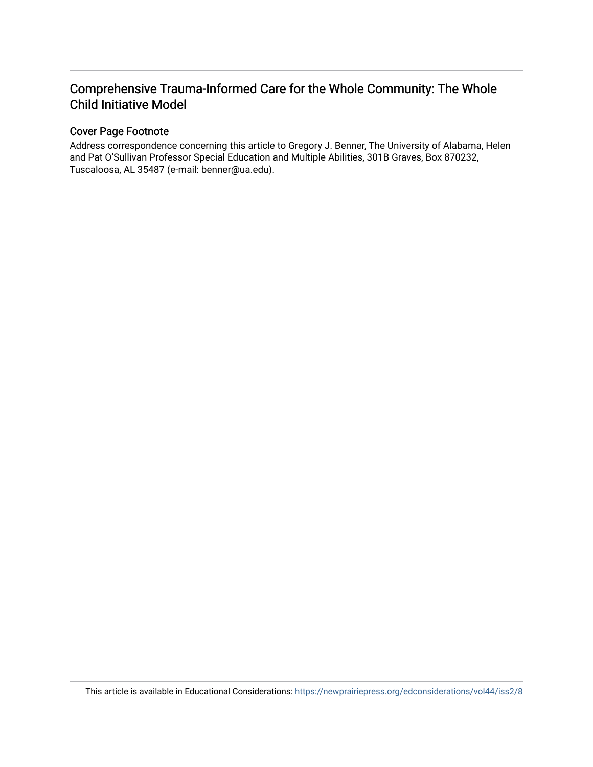### Comprehensive Trauma-Informed Care for the Whole Community: The Whole Child Initiative Model

#### Cover Page Footnote

Address correspondence concerning this article to Gregory J. Benner, The University of Alabama, Helen and Pat O'Sullivan Professor Special Education and Multiple Abilities, 301B Graves, Box 870232, Tuscaloosa, AL 35487 (e-mail: benner@ua.edu).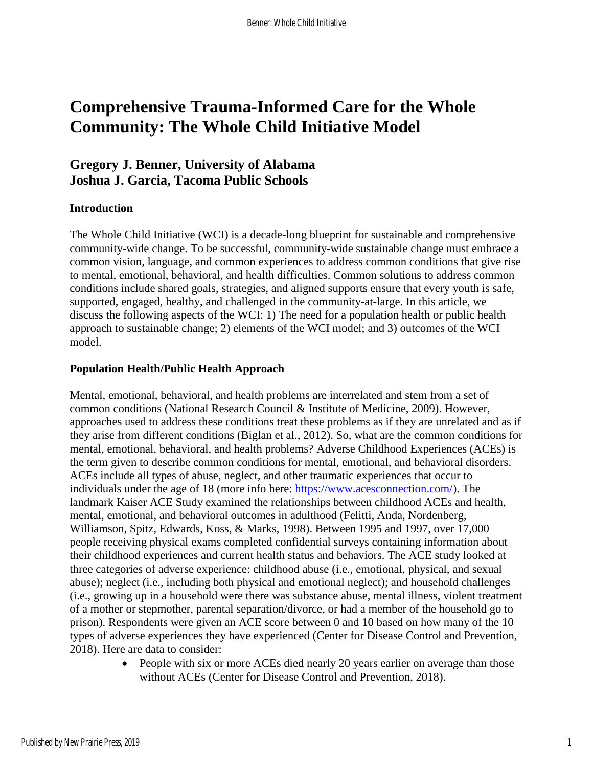## **Comprehensive Trauma-Informed Care for the Whole Community: The Whole Child Initiative Model**

### **Gregory J. Benner, University of Alabama Joshua J. Garcia, Tacoma Public Schools**

#### **Introduction**

The Whole Child Initiative (WCI) is a decade-long blueprint for sustainable and comprehensive community-wide change. To be successful, community-wide sustainable change must embrace a common vision, language, and common experiences to address common conditions that give rise to mental, emotional, behavioral, and health difficulties. Common solutions to address common conditions include shared goals, strategies, and aligned supports ensure that every youth is safe, supported, engaged, healthy, and challenged in the community-at-large. In this article, we discuss the following aspects of the WCI: 1) The need for a population health or public health approach to sustainable change; 2) elements of the WCI model; and 3) outcomes of the WCI model.

#### **Population Health/Public Health Approach**

Mental, emotional, behavioral, and health problems are interrelated and stem from a set of common conditions (National Research Council & Institute of Medicine, 2009). However, approaches used to address these conditions treat these problems as if they are unrelated and as if they arise from different conditions (Biglan et al., 2012). So, what are the common conditions for mental, emotional, behavioral, and health problems? Adverse Childhood Experiences (ACEs) is the term given to describe common conditions for mental, emotional, and behavioral disorders. ACEs include all types of abuse, neglect, and other traumatic experiences that occur to individuals under the age of 18 (more info here: [https://www.acesconnection.com/\)](https://www.acesconnection.com/). The landmark Kaiser ACE Study examined the relationships between childhood ACEs and health, mental, emotional, and behavioral outcomes in adulthood (Felitti, Anda, Nordenberg, Williamson, Spitz, Edwards, Koss, & Marks, 1998). Between 1995 and 1997, over 17,000 people receiving physical exams completed confidential surveys containing information about their childhood experiences and current health status and behaviors. The ACE study looked at three categories of adverse experience: childhood abuse (i.e., emotional, physical, and sexual abuse); neglect (i.e., including both physical and emotional neglect); and household challenges (i.e., growing up in a household were there was substance abuse, mental illness, violent treatment of a mother or stepmother, parental separation/divorce, or had a member of the household go to prison). Respondents were given an ACE score between 0 and 10 based on how many of the 10 types of adverse experiences they have experienced (Center for Disease Control and Prevention, 2018). Here are data to consider:

> • People with six or more ACEs died nearly 20 years earlier on average than those without ACEs (Center for Disease Control and Prevention, 2018).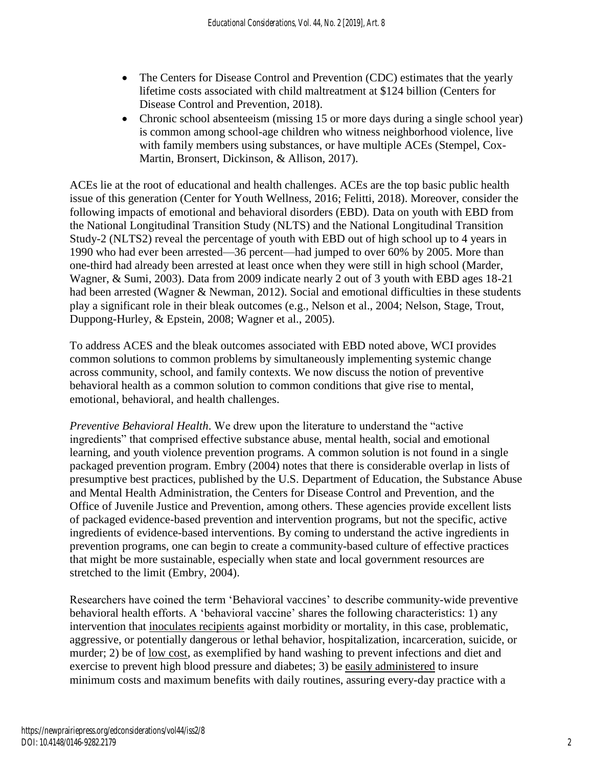- The Centers for Disease Control and Prevention (CDC) estimates that the yearly lifetime costs associated with child maltreatment at \$124 billion (Centers for Disease Control and Prevention, 2018).
- Chronic school absenteeism (missing 15 or more days during a single school year) is common among school-age children who witness neighborhood violence, live with family members using substances, or have multiple ACEs (Stempel, Cox-Martin, Bronsert, Dickinson, & Allison, 2017).

ACEs lie at the root of educational and health challenges. ACEs are the top basic public health issue of this generation (Center for Youth Wellness, 2016; Felitti, 2018). Moreover, consider the following impacts of emotional and behavioral disorders (EBD). Data on youth with EBD from the National Longitudinal Transition Study (NLTS) and the National Longitudinal Transition Study-2 (NLTS2) reveal the percentage of youth with EBD out of high school up to 4 years in 1990 who had ever been arrested—36 percent—had jumped to over 60% by 2005. More than one-third had already been arrested at least once when they were still in high school (Marder, Wagner, & Sumi, 2003). Data from 2009 indicate nearly 2 out of 3 youth with EBD ages 18-21 had been arrested (Wagner & Newman, 2012). Social and emotional difficulties in these students play a significant role in their bleak outcomes (e.g., Nelson et al., 2004; Nelson, Stage, Trout, Duppong-Hurley, & Epstein, 2008; Wagner et al., 2005).

To address ACES and the bleak outcomes associated with EBD noted above, WCI provides common solutions to common problems by simultaneously implementing systemic change across community, school, and family contexts. We now discuss the notion of preventive behavioral health as a common solution to common conditions that give rise to mental, emotional, behavioral, and health challenges.

*Preventive Behavioral Health*. We drew upon the literature to understand the "active ingredients" that comprised effective substance abuse, mental health, social and emotional learning, and youth violence prevention programs. A common solution is not found in a single packaged prevention program. Embry (2004) notes that there is considerable overlap in lists of presumptive best practices, published by the U.S. Department of Education, the Substance Abuse and Mental Health Administration, the Centers for Disease Control and Prevention, and the Office of Juvenile Justice and Prevention, among others. These agencies provide excellent lists of packaged evidence-based prevention and intervention programs, but not the specific, active ingredients of evidence-based interventions. By coming to understand the active ingredients in prevention programs, one can begin to create a community-based culture of effective practices that might be more sustainable, especially when state and local government resources are stretched to the limit (Embry, 2004).

Researchers have coined the term 'Behavioral vaccines' to describe community-wide preventive behavioral health efforts. A 'behavioral vaccine' shares the following characteristics: 1) any intervention that inoculates recipients against morbidity or mortality, in this case, problematic, aggressive, or potentially dangerous or lethal behavior, hospitalization, incarceration, suicide, or murder; 2) be of low cost, as exemplified by hand washing to prevent infections and diet and exercise to prevent high blood pressure and diabetes; 3) be easily administered to insure minimum costs and maximum benefits with daily routines, assuring every-day practice with a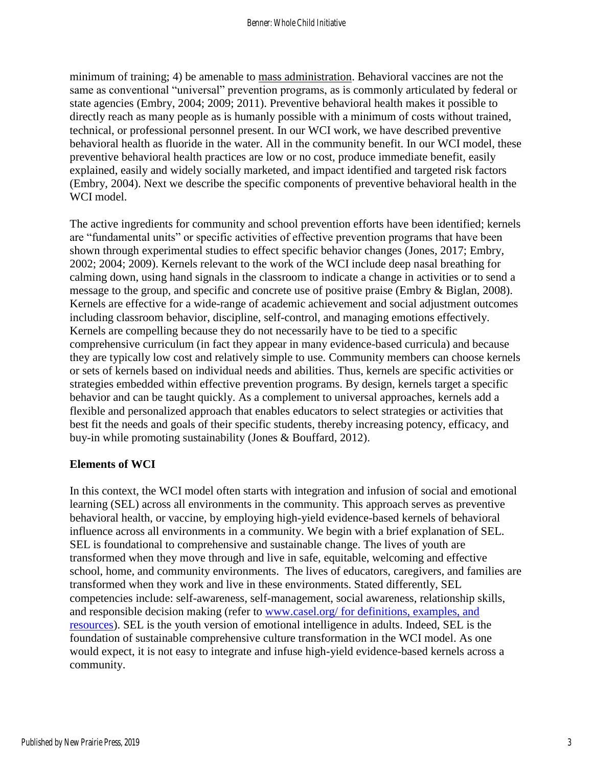minimum of training; 4) be amenable to mass administration. Behavioral vaccines are not the same as conventional "universal" prevention programs, as is commonly articulated by federal or state agencies (Embry, 2004; 2009; 2011). Preventive behavioral health makes it possible to directly reach as many people as is humanly possible with a minimum of costs without trained, technical, or professional personnel present. In our WCI work, we have described preventive behavioral health as fluoride in the water. All in the community benefit. In our WCI model, these preventive behavioral health practices are low or no cost, produce immediate benefit, easily explained, easily and widely socially marketed, and impact identified and targeted risk factors (Embry, 2004). Next we describe the specific components of preventive behavioral health in the WCI model.

The active ingredients for community and school prevention efforts have been identified; kernels are "fundamental units" or specific activities of effective prevention programs that have been shown through experimental studies to effect specific behavior changes (Jones, 2017; Embry, 2002; 2004; 2009). Kernels relevant to the work of the WCI include deep nasal breathing for calming down, using hand signals in the classroom to indicate a change in activities or to send a message to the group, and specific and concrete use of positive praise (Embry & Biglan, 2008). Kernels are effective for a wide-range of academic achievement and social adjustment outcomes including classroom behavior, discipline, self-control, and managing emotions effectively. Kernels are compelling because they do not necessarily have to be tied to a specific comprehensive curriculum (in fact they appear in many evidence-based curricula) and because they are typically low cost and relatively simple to use. Community members can choose kernels or sets of kernels based on individual needs and abilities. Thus, kernels are specific activities or strategies embedded within effective prevention programs. By design, kernels target a specific behavior and can be taught quickly. As a complement to universal approaches, kernels add a flexible and personalized approach that enables educators to select strategies or activities that best fit the needs and goals of their specific students, thereby increasing potency, efficacy, and buy-in while promoting sustainability (Jones & Bouffard, 2012).

#### **Elements of WCI**

In this context, the WCI model often starts with integration and infusion of social and emotional learning (SEL) across all environments in the community. This approach serves as preventive behavioral health, or vaccine, by employing high-yield evidence-based kernels of behavioral influence across all environments in a community. We begin with a brief explanation of SEL. SEL is foundational to comprehensive and sustainable change. The lives of youth are transformed when they move through and live in safe, equitable, welcoming and effective school, home, and community environments. The lives of educators, caregivers, and families are transformed when they work and live in these environments. Stated differently, SEL competencies include: self-awareness, self-management, social awareness, relationship skills, and responsible decision making (refer to [www.casel.org/](http://www.casel.org/) for definitions, examples, and resources). SEL is the youth version of emotional intelligence in adults. Indeed, SEL is the foundation of sustainable comprehensive culture transformation in the WCI model. As one would expect, it is not easy to integrate and infuse high-yield evidence-based kernels across a community.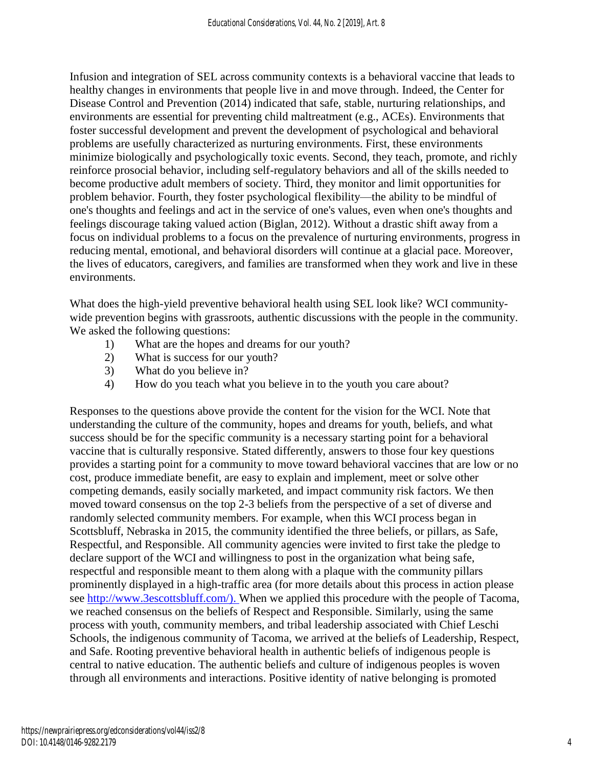Infusion and integration of SEL across community contexts is a behavioral vaccine that leads to healthy changes in environments that people live in and move through. Indeed, the Center for Disease Control and Prevention (2014) indicated that safe, stable, nurturing relationships, and environments are essential for preventing child maltreatment (e.g., ACEs). Environments that foster successful development and prevent the development of psychological and behavioral problems are usefully characterized as nurturing environments. First, these environments minimize biologically and psychologically toxic events. Second, they teach, promote, and richly reinforce prosocial behavior, including self-regulatory behaviors and all of the skills needed to become productive adult members of society. Third, they monitor and limit opportunities for problem behavior. Fourth, they foster psychological flexibility—the ability to be mindful of one's thoughts and feelings and act in the service of one's values, even when one's thoughts and feelings discourage taking valued action (Biglan, 2012). Without a drastic shift away from a focus on individual problems to a focus on the prevalence of nurturing environments, progress in reducing mental, emotional, and behavioral disorders will continue at a glacial pace. Moreover, the lives of educators, caregivers, and families are transformed when they work and live in these environments.

What does the high-yield preventive behavioral health using SEL look like? WCI communitywide prevention begins with grassroots, authentic discussions with the people in the community. We asked the following questions:

- 1) What are the hopes and dreams for our youth?
- 2) What is success for our youth?
- 3) What do you believe in?
- 4) How do you teach what you believe in to the youth you care about?

Responses to the questions above provide the content for the vision for the WCI. Note that understanding the culture of the community, hopes and dreams for youth, beliefs, and what success should be for the specific community is a necessary starting point for a behavioral vaccine that is culturally responsive. Stated differently, answers to those four key questions provides a starting point for a community to move toward behavioral vaccines that are low or no cost, produce immediate benefit, are easy to explain and implement, meet or solve other competing demands, easily socially marketed, and impact community risk factors. We then moved toward consensus on the top 2-3 beliefs from the perspective of a set of diverse and randomly selected community members. For example, when this WCI process began in Scottsbluff, Nebraska in 2015, the community identified the three beliefs, or pillars, as Safe, Respectful, and Responsible. All community agencies were invited to first take the pledge to declare support of the WCI and willingness to post in the organization what being safe, respectful and responsible meant to them along with a plaque with the community pillars prominently displayed in a high-traffic area (for more details about this process in action please see [http://www.3escottsbluff.com/\)](http://www.3escottsbluff.com/). When we applied this procedure with the people of Tacoma, we reached consensus on the beliefs of Respect and Responsible. Similarly, using the same process with youth, community members, and tribal leadership associated with Chief Leschi Schools, the indigenous community of Tacoma, we arrived at the beliefs of Leadership, Respect, and Safe. Rooting preventive behavioral health in authentic beliefs of indigenous people is central to native education. The authentic beliefs and culture of indigenous peoples is woven through all environments and interactions. Positive identity of native belonging is promoted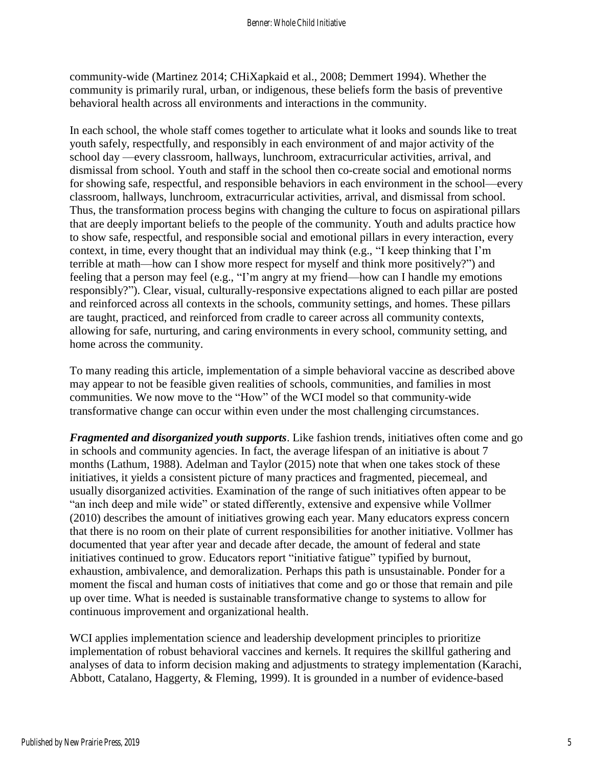community-wide (Martinez 2014; CHiXapkaid et al., 2008; Demmert 1994). Whether the community is primarily rural, urban, or indigenous, these beliefs form the basis of preventive behavioral health across all environments and interactions in the community.

In each school, the whole staff comes together to articulate what it looks and sounds like to treat youth safely, respectfully, and responsibly in each environment of and major activity of the school day —every classroom, hallways, lunchroom, extracurricular activities, arrival, and dismissal from school. Youth and staff in the school then co-create social and emotional norms for showing safe, respectful, and responsible behaviors in each environment in the school—every classroom, hallways, lunchroom, extracurricular activities, arrival, and dismissal from school. Thus, the transformation process begins with changing the culture to focus on aspirational pillars that are deeply important beliefs to the people of the community. Youth and adults practice how to show safe, respectful, and responsible social and emotional pillars in every interaction, every context, in time, every thought that an individual may think (e.g., "I keep thinking that I'm terrible at math—how can I show more respect for myself and think more positively?") and feeling that a person may feel (e.g., "I'm angry at my friend—how can I handle my emotions responsibly?"). Clear, visual, culturally-responsive expectations aligned to each pillar are posted and reinforced across all contexts in the schools, community settings, and homes. These pillars are taught, practiced, and reinforced from cradle to career across all community contexts, allowing for safe, nurturing, and caring environments in every school, community setting, and home across the community.

To many reading this article, implementation of a simple behavioral vaccine as described above may appear to not be feasible given realities of schools, communities, and families in most communities. We now move to the "How" of the WCI model so that community-wide transformative change can occur within even under the most challenging circumstances.

*Fragmented and disorganized youth supports*. Like fashion trends, initiatives often come and go in schools and community agencies. In fact, the average lifespan of an initiative is about 7 months (Lathum, 1988). Adelman and Taylor (2015) note that when one takes stock of these initiatives, it yields a consistent picture of many practices and fragmented, piecemeal, and usually disorganized activities. Examination of the range of such initiatives often appear to be "an inch deep and mile wide" or stated differently, extensive and expensive while Vollmer (2010) describes the amount of initiatives growing each year. Many educators express concern that there is no room on their plate of current responsibilities for another initiative. Vollmer has documented that year after year and decade after decade, the amount of federal and state initiatives continued to grow. Educators report "initiative fatigue" typified by burnout, exhaustion, ambivalence, and demoralization. Perhaps this path is unsustainable. Ponder for a moment the fiscal and human costs of initiatives that come and go or those that remain and pile up over time. What is needed is sustainable transformative change to systems to allow for continuous improvement and organizational health.

WCI applies implementation science and leadership development principles to prioritize implementation of robust behavioral vaccines and kernels. It requires the skillful gathering and analyses of data to inform decision making and adjustments to strategy implementation (Karachi, Abbott, Catalano, Haggerty, & Fleming, 1999). It is grounded in a number of evidence-based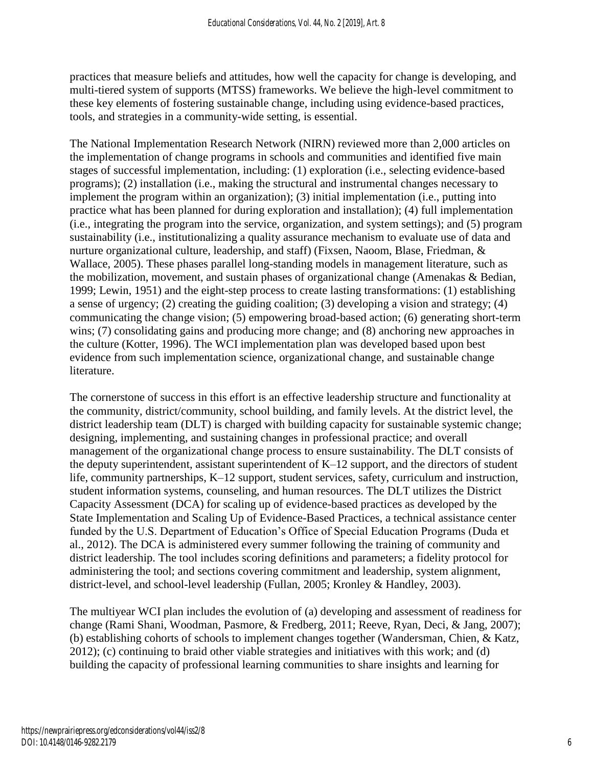practices that measure beliefs and attitudes, how well the capacity for change is developing, and multi-tiered system of supports (MTSS) frameworks. We believe the high-level commitment to these key elements of fostering sustainable change, including using evidence-based practices, tools, and strategies in a community-wide setting, is essential.

The National Implementation Research Network (NIRN) reviewed more than 2,000 articles on the implementation of change programs in schools and communities and identified five main stages of successful implementation, including: (1) exploration (i.e., selecting evidence-based programs); (2) installation (i.e., making the structural and instrumental changes necessary to implement the program within an organization); (3) initial implementation (i.e., putting into practice what has been planned for during exploration and installation); (4) full implementation (i.e., integrating the program into the service, organization, and system settings); and (5) program sustainability (i.e., institutionalizing a quality assurance mechanism to evaluate use of data and nurture organizational culture, leadership, and staff) (Fixsen, Naoom, Blase, Friedman, & Wallace, 2005). These phases parallel long-standing models in management literature, such as the mobilization, movement, and sustain phases of organizational change (Amenakas & Bedian, 1999; Lewin, 1951) and the eight-step process to create lasting transformations: (1) establishing a sense of urgency; (2) creating the guiding coalition; (3) developing a vision and strategy; (4) communicating the change vision; (5) empowering broad-based action; (6) generating short-term wins; (7) consolidating gains and producing more change; and (8) anchoring new approaches in the culture (Kotter, 1996). The WCI implementation plan was developed based upon best evidence from such implementation science, organizational change, and sustainable change literature.

The cornerstone of success in this effort is an effective leadership structure and functionality at the community, district/community, school building, and family levels. At the district level, the district leadership team (DLT) is charged with building capacity for sustainable systemic change; designing, implementing, and sustaining changes in professional practice; and overall management of the organizational change process to ensure sustainability. The DLT consists of the deputy superintendent, assistant superintendent of K–12 support, and the directors of student life, community partnerships, K–12 support, student services, safety, curriculum and instruction, student information systems, counseling, and human resources. The DLT utilizes the District Capacity Assessment (DCA) for scaling up of evidence-based practices as developed by the State Implementation and Scaling Up of Evidence-Based Practices, a technical assistance center funded by the U.S. Department of Education's Office of Special Education Programs (Duda et al., 2012). The DCA is administered every summer following the training of community and district leadership. The tool includes scoring definitions and parameters; a fidelity protocol for administering the tool; and sections covering commitment and leadership, system alignment, district-level, and school-level leadership (Fullan, 2005; Kronley & Handley, 2003).

The multiyear WCI plan includes the evolution of (a) developing and assessment of readiness for change (Rami Shani, Woodman, Pasmore, & Fredberg, 2011; Reeve, Ryan, Deci, & Jang, 2007); (b) establishing cohorts of schools to implement changes together (Wandersman, Chien, & Katz, 2012); (c) continuing to braid other viable strategies and initiatives with this work; and (d) building the capacity of professional learning communities to share insights and learning for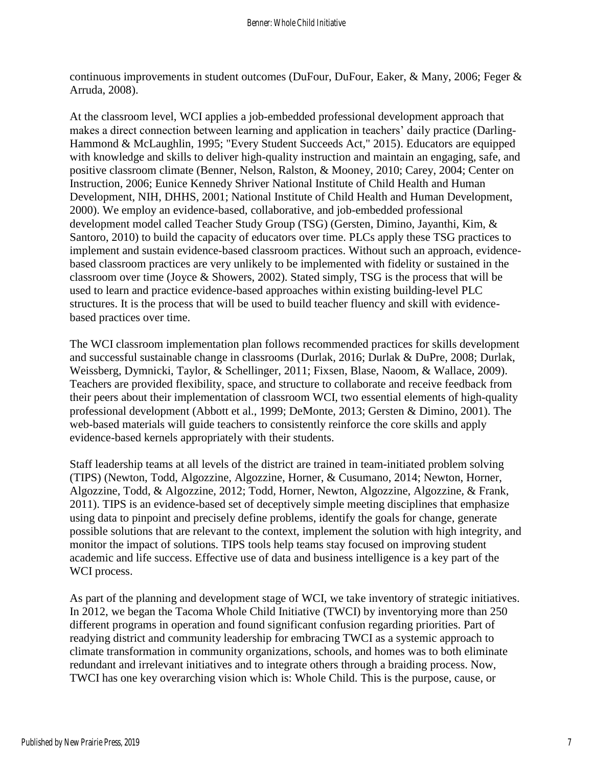continuous improvements in student outcomes (DuFour, DuFour, Eaker, & Many, 2006; Feger & Arruda, 2008).

At the classroom level, WCI applies a job-embedded professional development approach that makes a direct connection between learning and application in teachers' daily practice (Darling-Hammond & McLaughlin, 1995; "Every Student Succeeds Act," 2015). Educators are equipped with knowledge and skills to deliver high-quality instruction and maintain an engaging, safe, and positive classroom climate (Benner, Nelson, Ralston, & Mooney, 2010; Carey, 2004; Center on Instruction, 2006; Eunice Kennedy Shriver National Institute of Child Health and Human Development, NIH, DHHS, 2001; National Institute of Child Health and Human Development, 2000). We employ an evidence-based, collaborative, and job-embedded professional development model called Teacher Study Group (TSG) (Gersten, Dimino, Jayanthi, Kim, & Santoro, 2010) to build the capacity of educators over time. PLCs apply these TSG practices to implement and sustain evidence-based classroom practices. Without such an approach, evidencebased classroom practices are very unlikely to be implemented with fidelity or sustained in the classroom over time (Joyce & Showers, 2002). Stated simply, TSG is the process that will be used to learn and practice evidence-based approaches within existing building-level PLC structures. It is the process that will be used to build teacher fluency and skill with evidencebased practices over time.

The WCI classroom implementation plan follows recommended practices for skills development and successful sustainable change in classrooms (Durlak, 2016; Durlak & DuPre, 2008; Durlak, Weissberg, Dymnicki, Taylor, & Schellinger, 2011; Fixsen, Blase, Naoom, & Wallace, 2009). Teachers are provided flexibility, space, and structure to collaborate and receive feedback from their peers about their implementation of classroom WCI, two essential elements of high-quality professional development (Abbott et al., 1999; DeMonte, 2013; Gersten & Dimino, 2001). The web-based materials will guide teachers to consistently reinforce the core skills and apply evidence-based kernels appropriately with their students.

Staff leadership teams at all levels of the district are trained in team-initiated problem solving (TIPS) (Newton, Todd, Algozzine, Algozzine, Horner, & Cusumano, 2014; Newton, Horner, Algozzine, Todd, & Algozzine, 2012; Todd, Horner, Newton, Algozzine, Algozzine, & Frank, 2011). TIPS is an evidence-based set of deceptively simple meeting disciplines that emphasize using data to pinpoint and precisely define problems, identify the goals for change, generate possible solutions that are relevant to the context, implement the solution with high integrity, and monitor the impact of solutions. TIPS tools help teams stay focused on improving student academic and life success. Effective use of data and business intelligence is a key part of the WCI process.

As part of the planning and development stage of WCI, we take inventory of strategic initiatives. In 2012, we began the Tacoma Whole Child Initiative (TWCI) by inventorying more than 250 different programs in operation and found significant confusion regarding priorities. Part of readying district and community leadership for embracing TWCI as a systemic approach to climate transformation in community organizations, schools, and homes was to both eliminate redundant and irrelevant initiatives and to integrate others through a braiding process. Now, TWCI has one key overarching vision which is: Whole Child. This is the purpose, cause, or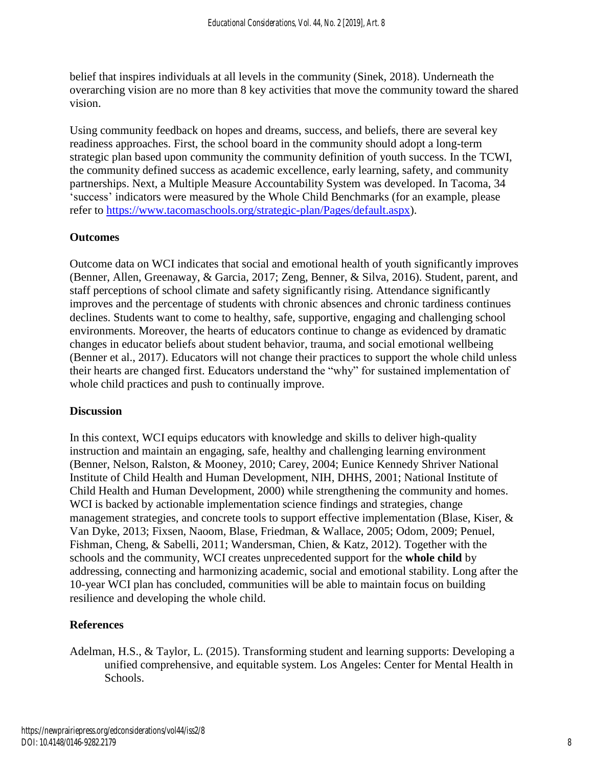belief that inspires individuals at all levels in the community (Sinek, 2018). Underneath the overarching vision are no more than 8 key activities that move the community toward the shared vision.

Using community feedback on hopes and dreams, success, and beliefs, there are several key readiness approaches. First, the school board in the community should adopt a long-term strategic plan based upon community the community definition of youth success. In the TCWI, the community defined success as academic excellence, early learning, safety, and community partnerships. Next, a Multiple Measure Accountability System was developed. In Tacoma, 34 'success' indicators were measured by the Whole Child Benchmarks (for an example, please refer to [https://www.tacomaschools.org/strategic-plan/Pages/default.aspx\)](https://www.tacomaschools.org/strategic-plan/Pages/default.aspx).

#### **Outcomes**

Outcome data on WCI indicates that social and emotional health of youth significantly improves (Benner, Allen, Greenaway, & Garcia, 2017; Zeng, Benner, & Silva, 2016). Student, parent, and staff perceptions of school climate and safety significantly rising. Attendance significantly improves and the percentage of students with chronic absences and chronic tardiness continues declines. Students want to come to healthy, safe, supportive, engaging and challenging school environments. Moreover, the hearts of educators continue to change as evidenced by dramatic changes in educator beliefs about student behavior, trauma, and social emotional wellbeing (Benner et al., 2017). Educators will not change their practices to support the whole child unless their hearts are changed first. Educators understand the "why" for sustained implementation of whole child practices and push to continually improve.

#### **Discussion**

In this context, WCI equips educators with knowledge and skills to deliver high-quality instruction and maintain an engaging, safe, healthy and challenging learning environment (Benner, Nelson, Ralston, & Mooney, 2010; Carey, 2004; Eunice Kennedy Shriver National Institute of Child Health and Human Development, NIH, DHHS, 2001; National Institute of Child Health and Human Development, 2000) while strengthening the community and homes. WCI is backed by actionable implementation science findings and strategies, change management strategies, and concrete tools to support effective implementation (Blase, Kiser, & Van Dyke, 2013; Fixsen, Naoom, Blase, Friedman, & Wallace, 2005; Odom, 2009; Penuel, Fishman, Cheng, & Sabelli, 2011; Wandersman, Chien, & Katz, 2012). Together with the schools and the community, WCI creates unprecedented support for the **whole child** by addressing, connecting and harmonizing academic, social and emotional stability. Long after the 10-year WCI plan has concluded, communities will be able to maintain focus on building resilience and developing the whole child.

#### **References**

Adelman, H.S., & Taylor, L. (2015). Transforming student and learning supports: Developing a unified comprehensive, and equitable system. Los Angeles: Center for Mental Health in Schools.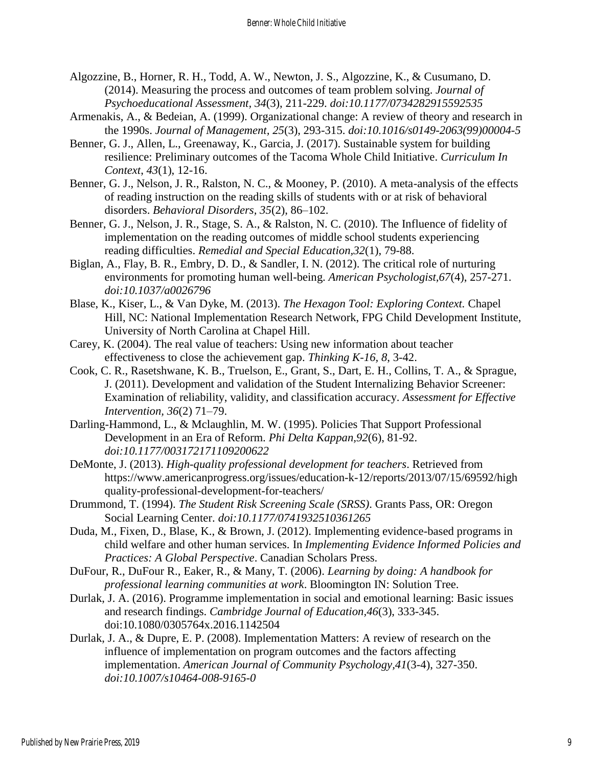- Algozzine, B., Horner, R. H., Todd, A. W., Newton, J. S., Algozzine, K., & Cusumano, D. (2014). Measuring the process and outcomes of team problem solving. *Journal of Psychoeducational Assessment, 34*(3), 211-229. *doi:10.1177/0734282915592535*
- Armenakis, A., & Bedeian, A. (1999). Organizational change: A review of theory and research in the 1990s. *Journal of Management, 25*(3), 293-315. *doi:10.1016/s0149-2063(99)00004-5*
- Benner, G. J., Allen, L., Greenaway, K., Garcia, J. (2017). Sustainable system for building resilience: Preliminary outcomes of the Tacoma Whole Child Initiative. *Curriculum In Context*, *43*(1), 12-16.
- Benner, G. J., Nelson, J. R., Ralston, N. C., & Mooney, P. (2010). A meta-analysis of the effects of reading instruction on the reading skills of students with or at risk of behavioral disorders. *Behavioral Disorders, 35*(2), 86–102.
- Benner, G. J., Nelson, J. R., Stage, S. A., & Ralston, N. C. (2010). The Influence of fidelity of implementation on the reading outcomes of middle school students experiencing reading difficulties. *Remedial and Special Education,32*(1), 79-88.
- Biglan, A., Flay, B. R., Embry, D. D., & Sandler, I. N. (2012). The critical role of nurturing environments for promoting human well-being. *American Psychologist,67*(4), 257-271. *doi:10.1037/a0026796*
- Blase, K., Kiser, L., & Van Dyke, M. (2013). *The Hexagon Tool: Exploring Context.* Chapel Hill, NC: National Implementation Research Network, FPG Child Development Institute, University of North Carolina at Chapel Hill.
- Carey, K. (2004). The real value of teachers: Using new information about teacher effectiveness to close the achievement gap. *Thinking K-16, 8*, 3-42.
- Cook, C. R., Rasetshwane, K. B., Truelson, E., Grant, S., Dart, E. H., Collins, T. A., & Sprague, J. (2011). Development and validation of the Student Internalizing Behavior Screener: Examination of reliability, validity, and classification accuracy. *Assessment for Effective Intervention, 36*(2) 71–79.
- Darling-Hammond, L., & Mclaughlin, M. W. (1995). Policies That Support Professional Development in an Era of Reform. *Phi Delta Kappan,92*(6), 81-92. *doi:10.1177/003172171109200622*
- DeMonte, J. (2013). *High-quality professional development for teachers*. Retrieved from https://www.americanprogress.org/issues/education-k-12/reports/2013/07/15/69592/high quality-professional-development-for-teachers/
- Drummond, T. (1994). *The Student Risk Screening Scale (SRSS)*. Grants Pass, OR: Oregon Social Learning Center. *doi:10.1177/0741932510361265*
- Duda, M., Fixen, D., Blase, K., & Brown, J. (2012). Implementing evidence-based programs in child welfare and other human services. In *Implementing Evidence Informed Policies and Practices: A Global Perspective*. Canadian Scholars Press.
- DuFour, R., DuFour R., Eaker, R., & Many, T. (2006). *Learning by doing: A handbook for professional learning communities at work*. Bloomington IN: Solution Tree.
- Durlak, J. A. (2016). Programme implementation in social and emotional learning: Basic issues and research findings. *Cambridge Journal of Education,46*(3), 333-345. doi:10.1080/0305764x.2016.1142504
- Durlak, J. A., & Dupre, E. P. (2008). Implementation Matters: A review of research on the influence of implementation on program outcomes and the factors affecting implementation. *American Journal of Community Psychology,41*(3-4), 327-350. *doi:10.1007/s10464-008-9165-0*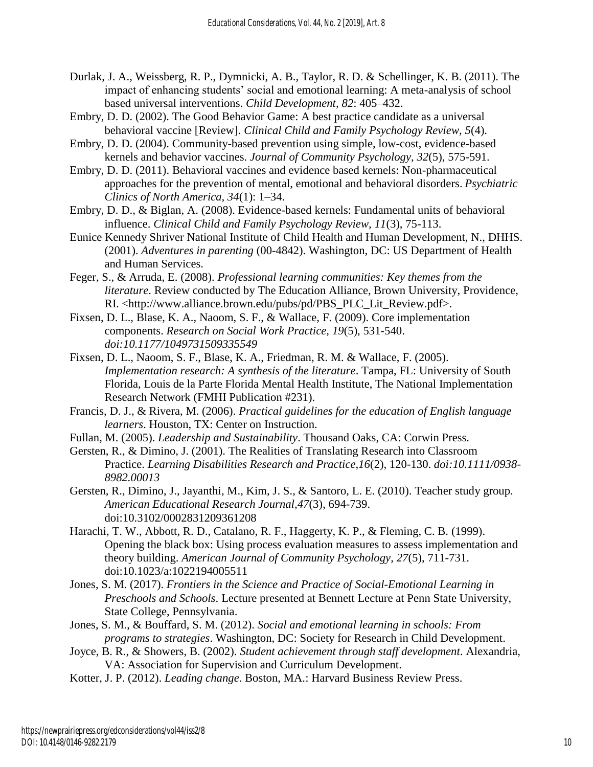- Durlak, J. A., Weissberg, R. P., Dymnicki, A. B., Taylor, R. D. & Schellinger, K. B. (2011). The impact of enhancing students' social and emotional learning: A meta-analysis of school based universal interventions. *Child Development, 82*: 405–432.
- Embry, D. D. (2002). The Good Behavior Game: A best practice candidate as a universal behavioral vaccine [Review]. *Clinical Child and Family Psychology Review, 5*(4).
- Embry, D. D. (2004). Community-based prevention using simple, low-cost, evidence-based kernels and behavior vaccines. *Journal of Community Psychology, 32*(5), 575-591.
- Embry, D. D. (2011). Behavioral vaccines and evidence based kernels: Non-pharmaceutical approaches for the prevention of mental, emotional and behavioral disorders. *Psychiatric Clinics of North America, 34*(1): 1–34.
- Embry, D. D., & Biglan, A. (2008). Evidence-based kernels: Fundamental units of behavioral influence. *Clinical Child and Family Psychology Review, 11*(3), 75-113.
- Eunice Kennedy Shriver National Institute of Child Health and Human Development, N., DHHS. (2001). *Adventures in parenting* (00-4842). Washington, DC: US Department of Health and Human Services.
- Feger, S., & Arruda, E. (2008). *Professional learning communities: Key themes from the literature*. Review conducted by The Education Alliance, Brown University, Providence, RI. <http://www.alliance.brown.edu/pubs/pd/PBS\_PLC\_Lit\_Review.pdf>.
- Fixsen, D. L., Blase, K. A., Naoom, S. F., & Wallace, F. (2009). Core implementation components. *Research on Social Work Practice, 19*(5), 531-540. *doi:10.1177/1049731509335549*
- Fixsen, D. L., Naoom, S. F., Blase, K. A., Friedman, R. M. & Wallace, F. (2005). *Implementation research: A synthesis of the literature*. Tampa, FL: University of South Florida, Louis de la Parte Florida Mental Health Institute, The National Implementation Research Network (FMHI Publication #231).
- Francis, D. J., & Rivera, M. (2006). *Practical guidelines for the education of English language learners*. Houston, TX: Center on Instruction.
- Fullan, M. (2005). *Leadership and Sustainability*. Thousand Oaks, CA: Corwin Press.
- Gersten, R., & Dimino, J. (2001). The Realities of Translating Research into Classroom Practice. *Learning Disabilities Research and Practice,16*(2), 120-130. *doi:10.1111/0938- 8982.00013*
- Gersten, R., Dimino, J., Jayanthi, M., Kim, J. S., & Santoro, L. E. (2010). Teacher study group. *American Educational Research Journal,47*(3), 694-739. doi:10.3102/0002831209361208
- Harachi, T. W., Abbott, R. D., Catalano, R. F., Haggerty, K. P., & Fleming, C. B. (1999). Opening the black box: Using process evaluation measures to assess implementation and theory building. *American Journal of Community Psychology, 27*(5), 711-731. doi:10.1023/a:1022194005511
- Jones, S. M. (2017). *Frontiers in the Science and Practice of Social-Emotional Learning in Preschools and Schools*. Lecture presented at Bennett Lecture at Penn State University, State College, Pennsylvania.
- Jones, S. M., & Bouffard, S. M. (2012). *Social and emotional learning in schools: From programs to strategies*. Washington, DC: Society for Research in Child Development.
- Joyce, B. R., & Showers, B. (2002). *Student achievement through staff development*. Alexandria, VA: Association for Supervision and Curriculum Development.
- Kotter, J. P. (2012). *Leading change*. Boston, MA.: Harvard Business Review Press.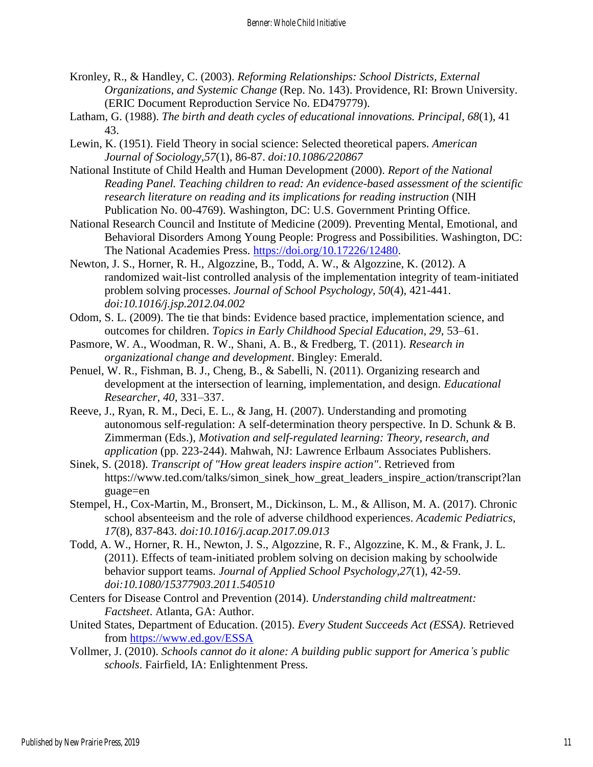- Kronley, R., & Handley, C. (2003). *Reforming Relationships: School Districts, External Organizations, and Systemic Change* (Rep. No. 143). Providence, RI: Brown University. (ERIC Document Reproduction Service No. ED479779).
- Latham, G. (1988). *The birth and death cycles of educational innovations. Principal, 68*(1), 41 43.
- Lewin, K. (1951). Field Theory in social science: Selected theoretical papers. *American Journal of Sociology,57*(1), 86-87. *doi:10.1086/220867*
- National Institute of Child Health and Human Development (2000). *Report of the National Reading Panel. Teaching children to read: An evidence-based assessment of the scientific research literature on reading and its implications for reading instruction* (NIH Publication No. 00-4769). Washington, DC: U.S. Government Printing Office.
- National Research Council and Institute of Medicine (2009). Preventing Mental, Emotional, and Behavioral Disorders Among Young People: Progress and Possibilities. Washington, DC: The National Academies Press. [https://doi.org/10.17226/12480.](https://doi.org/10.17226/12480)
- Newton, J. S., Horner, R. H., Algozzine, B., Todd, A. W., & Algozzine, K. (2012). A randomized wait-list controlled analysis of the implementation integrity of team-initiated problem solving processes. *Journal of School Psychology, 50*(4), 421-441. *doi:10.1016/j.jsp.2012.04.002*
- Odom, S. L. (2009). The tie that binds: Evidence based practice, implementation science, and outcomes for children. *Topics in Early Childhood Special Education, 29*, 53–61.
- Pasmore, W. A., Woodman, R. W., Shani, A. B., & Fredberg, T. (2011). *Research in organizational change and development*. Bingley: Emerald.
- Penuel, W. R., Fishman, B. J., Cheng, B., & Sabelli, N. (2011). Organizing research and development at the intersection of learning, implementation, and design. *Educational Researcher, 40*, 331–337.
- Reeve, J., Ryan, R. M., Deci, E. L., & Jang, H. (2007). Understanding and promoting autonomous self-regulation: A self-determination theory perspective. In D. Schunk & B. Zimmerman (Eds.), *Motivation and self-regulated learning: Theory, research, and application* (pp. 223-244). Mahwah, NJ: Lawrence Erlbaum Associates Publishers.
- Sinek, S. (2018). *Transcript of "How great leaders inspire action"*. Retrieved from https://www.ted.com/talks/simon\_sinek\_how\_great\_leaders\_inspire\_action/transcript?lan guage=en
- Stempel, H., Cox-Martin, M., Bronsert, M., Dickinson, L. M., & Allison, M. A. (2017). Chronic school absenteeism and the role of adverse childhood experiences. *Academic Pediatrics, 17*(8), 837-843. *doi:10.1016/j.acap.2017.09.013*
- Todd, A. W., Horner, R. H., Newton, J. S., Algozzine, R. F., Algozzine, K. M., & Frank, J. L. (2011). Effects of team-initiated problem solving on decision making by schoolwide behavior support teams. *Journal of Applied School Psychology,27*(1), 42-59. *doi:10.1080/15377903.2011.540510*
- Centers for Disease Control and Prevention (2014). *Understanding child maltreatment: Factsheet*. Atlanta, GA: Author.
- United States, Department of Education. (2015). *Every Student Succeeds Act (ESSA)*. Retrieved from<https://www.ed.gov/ESSA>
- Vollmer, J. (2010). *Schools cannot do it alone: A building public support for America's public schools*. Fairfield, IA: Enlightenment Press.